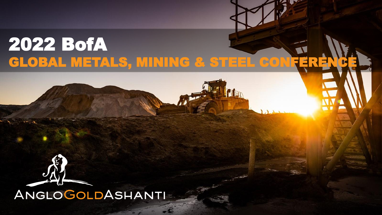# 2022 BofA GLOBAL METALS, MINING & STEEL CONFERE



ANGLOGOLDASHANTI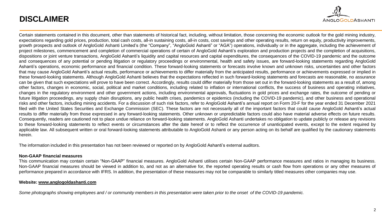## **DISCLAIMER**



Certain statements contained in this document, other than statements of historical fact, including, without limitation, those concerning the economic outlook for the gold mining industry, expectations regarding gold prices, production, total cash costs, all-in sustaining costs, all-in costs, cost savings and other operating results, return on equity, productivity improvements, growth prospects and outlook of AngloGold Ashanti Limited's (the "Company", "AngloGold Ashanti" or "AGA") operations, individually or in the aggregate, including the achievement of project milestones, commencement and completion of commercial operations of certain of AngloGold Ashanti's exploration and production projects and the completion of acquisitions, dispositions or joint venture transactions, AngloGold Ashanti's liquidity and capital resources and capital expenditures, the consequences of the COVID-19 pandemic and the outcome and consequences of any potential or pending litigation or regulatory proceedings or environmental, health and safety issues, are forward-looking statements regarding AngloGold Ashanti's operations, economic performance and financial condition. These forward-looking statements or forecasts involve known and unknown risks, uncertainties and other factors that may cause AngloGold Ashanti's actual results, performance or achievements to differ materially from the anticipated results, performance or achievements expressed or implied in these forward-looking statements. Although AngloGold Ashanti believes that the expectations reflected in such forward-looking statements and forecasts are reasonable, no assurance can be given that such expectations will prove to have been correct. Accordingly, results could differ materially from those set out in the forward-looking statements as a result of, among other factors, changes in economic, social, political and market conditions, including related to inflation or international conflicts, the success of business and operating initiatives, changes in the regulatory environment and other government actions, including environmental approvals, fluctuations in gold prices and exchange rates, the outcome of pending or future litigation proceedings, any supply chain disruptions, any public health crises, pandemics or epidemics (including the COVID-19 pandemic), and other business and operational risks and other factors, including mining accidents. For a discussion of such risk factors, refer to AngloGold Ashanti's annual report on Form 20-F for the year ended 31 December 2021 filed with the United States Securities and Exchange Commission (SEC). These factors are not necessarily all of the important factors that could cause AngloGold Ashanti's actual results to differ materially from those expressed in any forward-looking statements. Other unknown or unpredictable factors could also have material adverse effects on future results. Consequently, readers are cautioned not to place undue reliance on forward-looking statements. AngloGold Ashanti undertakes no obligation to update publicly or release any revisions to these forward-looking statements to reflect events or circumstances after the date hereof or to reflect the occurrence of unanticipated events, except to the extent required by applicable law. All subsequent written or oral forward-looking statements attributable to AngloGold Ashanti or any person acting on its behalf are qualified by the cautionary statements herein.

The information included in this presentation has not been reviewed or reported on by AngloGold Ashanti's external auditors.

#### **Non-GAAP financial measures**

This communication may contain certain "Non-GAAP" financial measures. AngloGold Ashanti utilises certain Non-GAAP performance measures and ratios in managing its business. Non-GAAP financial measures should be viewed in addition to, and not as an alternative for, the reported operating results or cash flow from operations or any other measures of performance prepared in accordance with IFRS. In addition, the presentation of these measures may not be comparable to similarly titled measures other companies may use.

#### **Website: [www.anglogoldashanti.com](http://www.anglogoldashanti.com/)**

Some photographs showing employees and / or community members in this presentation were taken prior to the onset of the COVID-19 pandemic.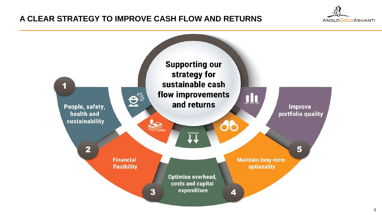## **A CLEAR STRATEGY TO IMPROVE CASH FLOW AND RETURNS**



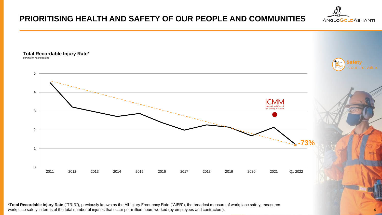## **PRIORITISING HEALTH AND SAFETY OF OUR PEOPLE AND COMMUNITIES**

**Total Recordable Injury Rate\***  *per million hours worked* 



4

**ANGLOGOLDASHANTI** 

\***Total Recordable Injury Rate** ("TRIR"), previously known as the All-Injury Frequency Rate ("AIFR"), the broadest measure of workplace safety, measures workplace safety in terms of the total number of injuries that occur per million hours worked (by employees and contractors).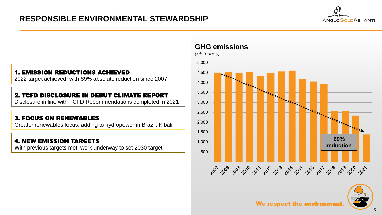## **RESPONSIBLE ENVIRONMENTAL STEWARDSHIP**



#### 1. EMISSION REDUCTIONS ACHIEVED

2022 target achieved, with 69% absolute reduction since 2007

#### 2. TCFD DISCLOSURE IN DEBUT CLIMATE REPORT

Disclosure in line with TCFD Recommendations completed in 2021

#### 3. FOCUS ON RENEWABLES

Greater renewables focus, adding to hydropower in Brazil, Kibali

#### 4. NEW EMISSION TARGETS

With previous targets met, work underway to set 2030 target

## **GHG emissions**





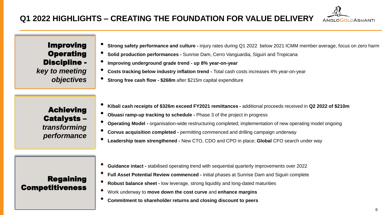

Improving **Operating** Discipline *key to meeting* 

*objectives*

Achieving Catalysts – *transforming performance*

- **Strong safety performance and culture -** injury rates during Q1 2022 below 2021 ICMM member average, focus on zero harm
- **Solid production performances -** Sunrise Dam, Cerro Vanguardia, Siguiri and Tropicana
- **Improving underground grade trend - up 8% year-on-year**
- **Costs tracking below industry inflation trend -** Total cash costs increases 4% year-on-year
- **Strong free cash flow - \$268m** after \$215m capital expenditure
- **Kibali cash receipts of \$326m exceed FY2021 remittances -** additional proceeds received in **Q2 2022 of \$210m**
- **Obuasi ramp-up tracking to schedule -** Phase 3 of the project in progress
- **Operating Model -** organisation-wide restructuring completed; implementation of new operating model ongoing
- **Corvus acquisition completed -** permitting commenced and drilling campaign underway
- **Leadership team strengthened -** New CTO, CDO and CPO in place; **Global** CFO search under way

Regaining Competitiveness

- **Guidance intact -** stabilised operating trend with sequential quarterly improvements over 2022
- **Full Asset Potential Review commenced -** initial phases at Sunrise Dam and Siguiri complete
- **Robust balance sheet -** low leverage, strong liquidity and long-dated maturities
- Work underway to **move down the cost curve** and **enhance margins**
- **Commitment to shareholder returns and closing discount to peers**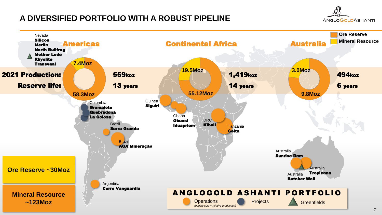## **A DIVERSIFIED PORTFOLIO WITH A ROBUST PIPELINE**



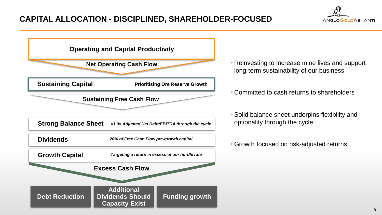

- Reinvesting to increase mine lives and support long-term sustainability of our business
- Committed to cash returns to shareholders
- Solid balance sheet underpins flexibility and optionality through the cycle
- Growth focused on risk-adjusted returns

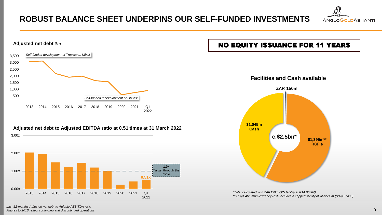## **ROBUST BALANCE SHEET UNDERPINS OUR SELF-FUNDED INVESTMENTS**





*Last-12-months Adjusted net debt to Adjusted EBITDA ratio Figures to 2016 reflect continuing and discontinued operations*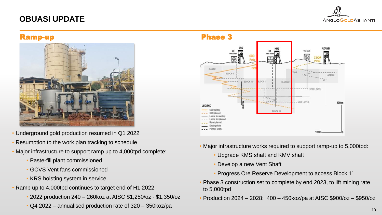## **OBUASI UPDATE**





- Underground gold production resumed in Q1 2022
- Resumption to the work plan tracking to schedule
- Major infrastructure to support ramp up to 4,000tpd complete:
	- Paste-fill plant commissioned
	- GCVS Vent fans commissioned
	- KRS hoisting system in service
- Ramp up to 4,000tpd continues to target end of H1 2022
	- 2022 production 240 260koz at AISC \$1,250/oz \$1,350/oz
	- Q4 2022 annualised production rate of 320 350koz/pa



- Major infrastructure works required to support ramp-up to 5,000tpd:
	- Upgrade KMS shaft and KMV shaft
	- Develop a new Vent Shaft
	- Progress Ore Reserve Development to access Block 11
- Phase 3 construction set to complete by end 2023, to lift mining rate to 5,000tpd
- Production 2024 2028: 400 450koz/pa at AISC \$900/oz \$950/oz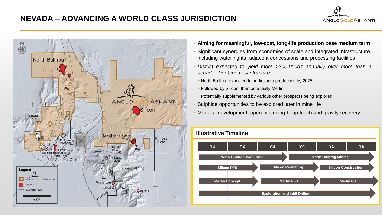## **NEVADA – ADVANCING A WORLD CLASS JURISDICTION**





- **Aiming for meaningful, low-cost, long-life production base medium term**
- Significant synergies from economies of scale and integrated infrastructure, including water rights, adjacent concessions and processing facilities
- *District expected to yield more >300,000oz annually over more than a decade; Tier One cost structure*
	- − North Bullfrog expected to be first into production by 2025
	- − Followed by Silicon, then potentially Merlin
- − Potentially supplemented by various other prospects being explored
- Sulphide opportunities to be explored later in mine life
- Modular development, open pits using heap leach and gravity recovery

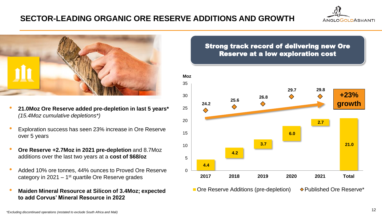## **SECTOR-LEADING ORGANIC ORE RESERVE ADDITIONS AND GROWTH**





- **21.0Moz Ore Reserve added pre-depletion in last 5 years\***  *(15.4Moz cumulative depletions\*)*
- Exploration success has seen 23% increase in Ore Reserve over 5 years
- **Ore Reserve +2.7Moz in 2021 pre-depletion** and 8.7Moz additions over the last two years at a **cost of \$68/oz**
- Added 10% ore tonnes, 44% ounces to Proved Ore Reserve category in 2021  $-1<sup>st</sup>$  quartile Ore Reserve grades
- **Maiden Mineral Resource at Silicon of 3.4Moz; expected to add Corvus' Mineral Resource in 2022**

### Strong track record of delivering new Ore Reserve at a low exploration cost



 $\blacksquare$  Ore Reserve Additions (pre-depletion)  $\lozenge$  Published Ore Reserve\*

*\*Excluding discontinued operations (restated to exclude South Africa and Mali)*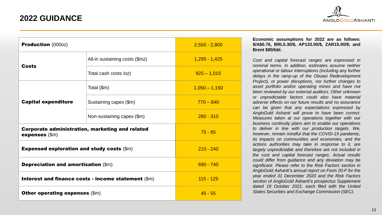

| <b>Production (000oz)</b>                                                  |                                 | $2,550 - 2,800$ |
|----------------------------------------------------------------------------|---------------------------------|-----------------|
| <b>Costs</b>                                                               | All-in sustaining costs (\$/oz) | $1,295 - 1,425$ |
|                                                                            | Total cash costs /oz)           | $925 - 1,015$   |
| <b>Capital expenditure</b>                                                 | Total $(\$m)$                   | $1,050 - 1,150$ |
|                                                                            | Sustaining capex (\$m)          | $770 - 840$     |
|                                                                            | Non-sustaining capex (\$m)      | $280 - 310$     |
| <b>Corporate administration, marketing and related</b><br>$expenses$ (\$m) |                                 | $75 - 85$       |
| <b>Expensed exploration and study costs <math>(\\$m)</math></b>            |                                 | $210 - 240$     |
| <b>Depreciation and amortisation (\$m)</b>                                 |                                 | $690 - 740$     |
| Interest and finance costs - income statement (\$m)                        | $115 - 125$                     |                 |
| <b>Other operating expenses (\$m)</b>                                      | $45 - 55$                       |                 |

#### **Economic assumptions for 2022 are as follows: \$/A\$0.76, BRL5.30/\$, AP133.00/\$, ZAR15.00/\$; and Brent \$80/bbl.**

*Cost and capital forecast ranges are expressed in nominal terms. In addition, estimates assume neither operational or labour interruptions (including any further delays in the ramp-up of the Obuasi Redevelopment Project), or power disruptions, nor further changes to asset portfolio and/or operating mines and have not been reviewed by our external auditors. Other unknown or unpredictable factors could also have material adverse effects on our future results and no assurance can be given that any expectations expressed by AngloGold Ashanti will prove to have been correct. Measures taken at our operations together with our business continuity plans aim to enable our operations to deliver in line with our production targets. We, however, remain mindful that the COVID-19 pandemic, its impacts on communities and economies, and the actions authorities may take in response to it, are largely unpredictable and therefore are not included in the cost and capital forecast ranges. Actual results could differ from guidance and any deviation may be significant. Please refer to the Risk Factors section in AngloGold Ashanti's annual report on Form 20-F for the year ended 31 December 2020 and the Risk Factors section of AngloGold Ashanti's prospectus Supplement dated 19 October 2021, each filed with the United States Securities and Exchange Commission (SEC).*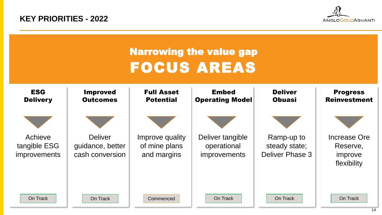**KEY PRIORITIES - 2022**



| <b>Narrowing the value gap</b><br><b>FOCUS AREAS</b> |                                                       |                                                 |                                                        |                                                |                                                    |  |  |
|------------------------------------------------------|-------------------------------------------------------|-------------------------------------------------|--------------------------------------------------------|------------------------------------------------|----------------------------------------------------|--|--|
| <b>ESG</b><br><b>Delivery</b>                        | <b>Improved</b><br><b>Outcomes</b>                    | <b>Full Asset</b><br><b>Potential</b>           | <b>Embed</b><br><b>Operating Model</b>                 | <b>Deliver</b><br><b>Obuasi</b>                | <b>Progress</b><br><b>Reinvestment</b>             |  |  |
| Achieve<br>tangible ESG<br><i>improvements</i>       | <b>Deliver</b><br>guidance, better<br>cash conversion | Improve quality<br>of mine plans<br>and margins | Deliver tangible<br>operational<br><i>improvements</i> | Ramp-up to<br>steady state;<br>Deliver Phase 3 | Increase Ore<br>Reserve,<br>improve<br>flexibility |  |  |
| On Track                                             | On Track                                              | Commenced                                       | On Track                                               | On Track                                       | On Track                                           |  |  |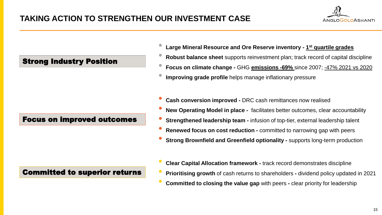

## Strong Industry Position

### Focus on improved outcomes

## Committed to superior returns

- **Large Mineral Resource and Ore Reserve inventory - <sup>1</sup> st quartile grades**
- **Robust balance sheet** supports reinvestment plan; track record of capital discipline
- **Focus on climate change -** GHG **emissions -69%** since 2007; -47% 2021 vs 2020
- **Improving grade profile** helps manage inflationary pressure
- **Cash conversion improved -** DRC cash remittances now realised
- **New Operating Model in place -** facilitates better outcomes, clear accountability
- **Strengthened leadership team -** infusion of top-tier, external leadership talent
- **Renewed focus on cost reduction -** committed to narrowing gap with peers
- **Strong Brownfield and Greenfield optionality -** supports long-term production
- **Clear Capital Allocation framework -** track record demonstrates discipline
- **Prioritising growth** of cash returns to shareholders **-** dividend policy updated in 2021
- **Committed to closing the value gap** with peers **-** clear priority for leadership